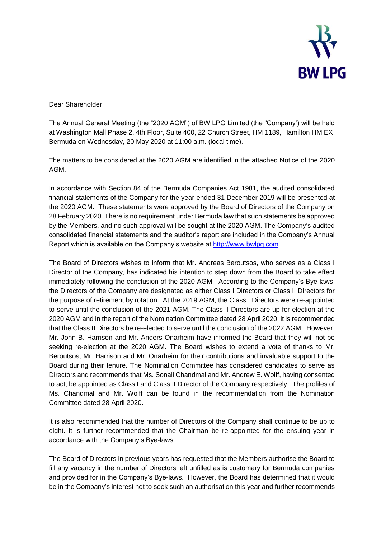

Dear Shareholder

The Annual General Meeting (the "2020 AGM") of BW LPG Limited (the "Company') will be held at Washington Mall Phase 2, 4th Floor, Suite 400, 22 Church Street, HM 1189, Hamilton HM EX, Bermuda on Wednesday, 20 May 2020 at 11:00 a.m. (local time).

The matters to be considered at the 2020 AGM are identified in the attached Notice of the 2020 AGM.

In accordance with Section 84 of the Bermuda Companies Act 1981, the audited consolidated financial statements of the Company for the year ended 31 December 2019 will be presented at the 2020 AGM. These statements were approved by the Board of Directors of the Company on 28 February 2020. There is no requirement under Bermuda law that such statements be approved by the Members, and no such approval will be sought at the 2020 AGM. The Company's audited consolidated financial statements and the auditor's report are included in the Company's Annual Report which is available on the Company's website at [http://www.bwlpg.com.](http://www.bwlpg.com/)

The Board of Directors wishes to inform that Mr. Andreas Beroutsos, who serves as a Class I Director of the Company, has indicated his intention to step down from the Board to take effect immediately following the conclusion of the 2020 AGM. According to the Company's Bye-laws, the Directors of the Company are designated as either Class I Directors or Class II Directors for the purpose of retirement by rotation. At the 2019 AGM, the Class I Directors were re-appointed to serve until the conclusion of the 2021 AGM. The Class II Directors are up for election at the 2020 AGM and in the report of the Nomination Committee dated 28 April 2020, it is recommended that the Class II Directors be re-elected to serve until the conclusion of the 2022 AGM. However, Mr. John B. Harrison and Mr. Anders Onarheim have informed the Board that they will not be seeking re-election at the 2020 AGM. The Board wishes to extend a vote of thanks to Mr. Beroutsos, Mr. Harrison and Mr. Onarheim for their contributions and invaluable support to the Board during their tenure. The Nomination Committee has considered candidates to serve as Directors and recommends that Ms. Sonali Chandmal and Mr. Andrew E. Wolff, having consented to act, be appointed as Class I and Class II Director of the Company respectively. The profiles of Ms. Chandmal and Mr. Wolff can be found in the recommendation from the Nomination Committee dated 28 April 2020.

It is also recommended that the number of Directors of the Company shall continue to be up to eight. It is further recommended that the Chairman be re-appointed for the ensuing year in accordance with the Company's Bye-laws.

The Board of Directors in previous years has requested that the Members authorise the Board to fill any vacancy in the number of Directors left unfilled as is customary for Bermuda companies and provided for in the Company's Bye-laws. However, the Board has determined that it would be in the Company's interest not to seek such an authorisation this year and further recommends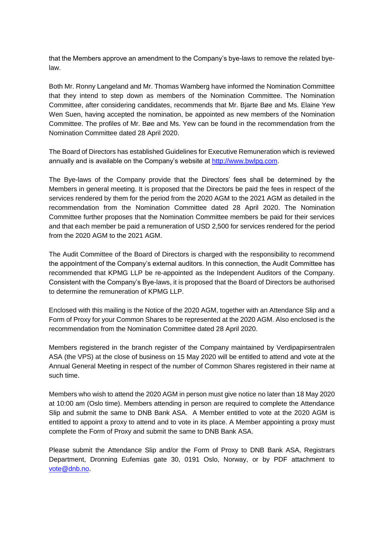that the Members approve an amendment to the Company's bye-laws to remove the related byelaw.

Both Mr. Ronny Langeland and Mr. Thomas Wamberg have informed the Nomination Committee that they intend to step down as members of the Nomination Committee. The Nomination Committee, after considering candidates, recommends that Mr. Bjarte Bøe and Ms. Elaine Yew Wen Suen, having accepted the nomination, be appointed as new members of the Nomination Committee. The profiles of Mr. Bøe and Ms. Yew can be found in the recommendation from the Nomination Committee dated 28 April 2020.

The Board of Directors has established Guidelines for Executive Remuneration which is reviewed annually and is available on the Company's website at [http://www.bwlpg.com.](http://www.bwlpg.com/)

The Bye-laws of the Company provide that the Directors' fees shall be determined by the Members in general meeting. It is proposed that the Directors be paid the fees in respect of the services rendered by them for the period from the 2020 AGM to the 2021 AGM as detailed in the recommendation from the Nomination Committee dated 28 April 2020. The Nomination Committee further proposes that the Nomination Committee members be paid for their services and that each member be paid a remuneration of USD 2,500 for services rendered for the period from the 2020 AGM to the 2021 AGM.

The Audit Committee of the Board of Directors is charged with the responsibility to recommend the appointment of the Company's external auditors. In this connection, the Audit Committee has recommended that KPMG LLP be re-appointed as the Independent Auditors of the Company. Consistent with the Company's Bye-laws, it is proposed that the Board of Directors be authorised to determine the remuneration of KPMG LLP.

Enclosed with this mailing is the Notice of the 2020 AGM, together with an Attendance Slip and a Form of Proxy for your Common Shares to be represented at the 2020 AGM. Also enclosed is the recommendation from the Nomination Committee dated 28 April 2020.

Members registered in the branch register of the Company maintained by Verdipapirsentralen ASA (the VPS) at the close of business on 15 May 2020 will be entitled to attend and vote at the Annual General Meeting in respect of the number of Common Shares registered in their name at such time.

Members who wish to attend the 2020 AGM in person must give notice no later than 18 May 2020 at 10:00 am (Oslo time). Members attending in person are required to complete the Attendance Slip and submit the same to DNB Bank ASA. A Member entitled to vote at the 2020 AGM is entitled to appoint a proxy to attend and to vote in its place. A Member appointing a proxy must complete the Form of Proxy and submit the same to DNB Bank ASA.

Please submit the Attendance Slip and/or the Form of Proxy to DNB Bank ASA, Registrars Department, Dronning Eufemias gate 30, 0191 Oslo, Norway, or by PDF attachment to [vote@dnb.no.](mailto:vote@dnb.no)